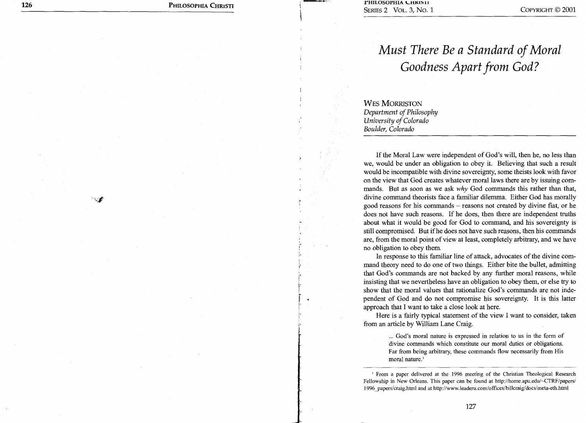**126** PHILOSOPHIA CHRISTI **PHILOSOPHIA CHRISTI PHILOSOPHIA CHRISTI** SERIES 2 VOL. 3, No. 1 COPYRIGHT © 2001

## *Must There Be a Standard of Moral Goodness Apart from God?*

WES MORRISTON *Department of Philosophy University of Colorado Boulder, Colorado* 

If the Moral Law were independent of God's will, then he, no less than we, would be under an obligation to obey it. Believing that such a result would be incompatible with divine sovereignty, some theists look with favor on the view that God creates whatever moral laws there are by issuing commands. But as soon as we ask *why* God commands this rather than that, divine command theorists face a familiar dilemma. Either God has morally good reasons for his commands — reasons not created by divine fiat, or he does not have such reasons. If he does, then there are independent truths about what it would be good for God to command, and his sovereignty is still compromised. But if he does not have such reasons, then his commands are, from the moral point of view at least, completely arbitrary, and we have no obligation to obey them.

In response to this familiar line of attack, advocates of the divine command theory need to do one of two things. Either bite the bullet, admitting that God's commands are not backed by any further moral reasons, while insisting that we nevertheless have an obligation to obey them, or else try to show that the moral values that rationalize God's commands are not independent of God and do not compromise his sovereignty. It is this latter approach that I want to take a close look at here.

Here is a fairly typical statement of the view I want to consider, taken from an article by William Lane Craig.

> Far from being arbitrary, these commands flow necessarily from His moral nature.' divine commands which constitute our moral duties or obligations. ... God's moral nature is expressed in relation to us in the form of

Fellowship in New Orleans. This paper can be found at http://home.apu.edu/~CTRF/papers/ 1996 papers/craig.html and at http://www.leaderu.com/offices/billcraig/docs/meta-eth.html ' From a paper delivered at the 1996 meeting of the Christian Theological Research

127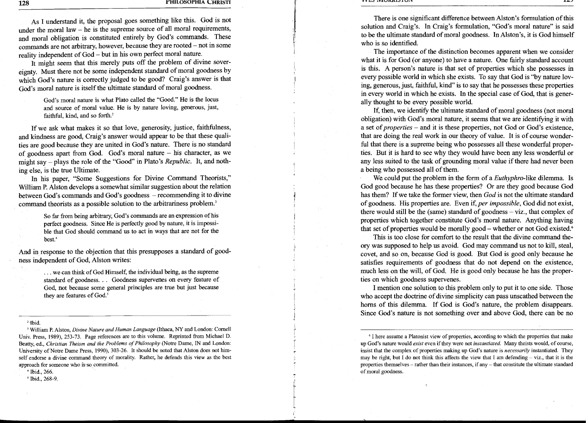As I understand it, the proposal goes something like this. God is not under the moral law — he is the supreme source of all moral requirements, and moral obligation is constituted entirely by God's commands. These commands are not arbitrary, however, because they are rooted — not in some reality independent of God — but in his own perfect moral nature.

It might seem that this merely puts off the problem of divine sovereignty. Must there not be some independent standard of moral goodness by which God's nature is correctly judged to be good? Craig's answer is that God's moral nature is itself the ultimate standard of moral goodness.

> God's moral nature is what Plato called the "Good." He is the locus and source of moral value. He is by nature loving, generous, just, faithful, kind, and so forth.'

If we ask what makes it so that love, generosity, justice, faithfulness, and kindness are good, Craig's answer would appear to be that these qualities are good because they are united in God's nature. There is no standard of goodness apart from God. God's moral nature — his character, as we might say — plays the role of the "Good" in Plato's *Republic.* It, and nothing else, is the true Ultimate.

In his paper, "Some Suggestions for Divine Command Theorists," William P. Alston develops a somewhat similar suggestion about the relation between God's commands and God's goodness — recommending it to divine command theorists as a possible solution to the arbitrariness problem.'

> So far from being arbitrary, God's commands are an expression of his perfect goodness. Since He is perfectly good by nature, it is impossible that God should command us to act in ways that are not for the best.'

And in response to the objection that this presupposes a standard of goodness independent of God, Alston writes:

> ... we can think of God Himself, the individual being, as the supreme standard of goodness. . . Goodness supervenes on every feature of God, not because some general principles are true but just because they are features of God.'

' William P. Alston, *Divine Nature and Human Language* (Ithaca, NY and London: Cornell Univ. Press, 1989), 253-73. Page references are to this volume. Reprinted from Michael D. Beatty, ed., *Christian Theism and the Problems of Philosophy* (Notre Dame, IN and London: University of Notre Dame Press, 1990), 303-26. It should be noted that Alston does not himself endorse a divine command theory of morality. Rather, he defends this view as the best approach for someone who is-so committed.

Ibid., 266.

5 Ibid., 268-9.

There is one significant difference between Alston's formulation of this solution and Craig's. In Craig's formulation, "God's moral nature" is said to be the ultimate standard of moral goodness. In Alston's, it is God himself who is so identified.

The importance of the distinction becomes apparent when we consider what it is for God (or anyone) to have a nature. One fairly standard account is this. A person's nature is that set of properties which she possesses in every possible world in which she exists. To say that God is "by nature loving, generous, just, faithful, kind" is to say that he possesses these properties in every world in which he exists. In the special case of God, that is generally thought to be every possible world.

If, then, we identify the ultimate standard of moral goodness (not moral obligation) with God's moral nature, it seems that we are identifying it with a set of *properties —* and it is these properties, not God or God's existence, that are doing the real work in our theory of value. It is of course wonderful that there is a supreme being who possesses all these wonderful properties. But it is hard to see why they would have been any less wonderful or any less suited to the task of grounding moral value if there had never been a being who possessed all of them.

We could put the problem in the form of a *Euthyphro-like* dilemma. Is God good because he has these properties? Or are they good because God has them? If we take the former view, then *God* is not the ultimate standard of goodness. His properties are. Even if, *per impossible,* God did not exist, there would still be the (same) standard of goodness — viz., that complex of properties which together constitute God's moral nature. Anything having that set of properties would be morally good – whether or not God existed.<sup>6</sup>

This is too close for comfort to the result that the divine command theory was supposed to help us avoid. God may command us not to kill, steal, covet, and so on, because God is good. But God is good only because he satisfies requirements of goodness that do not depend on the existence, much less on the will, of God. He is good only because he has the properties on which goodness supervenes.

I mention one solution to this problem only to put it to one side. Those who accept the doctrine of divine simplicity can pass unscathed between the horns of this dilemma. If God is God's nature, the problem disappears. Since God's nature is not something over and above God, there can be no

6 I here assume a Platonist view of properties, according to which the properties that make up God's nature would *exist* even if they were not *instantiated.* Many theists would, of course, insist that the complex of properties making up God's nature is *necessarily* instantiated. They may be right, but I do not think this affects the view that I am defending  $-$  viz., that it is the properties themselves — rather than their instances, if any — that constitute the ultimate standard of moral goodness.

<sup>&</sup>lt;sup>2</sup> Ibid.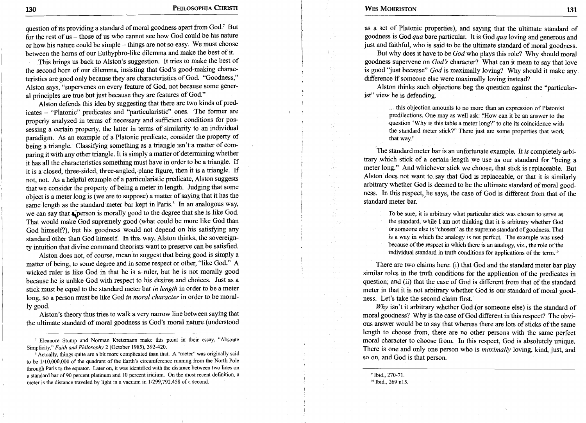question of its providing a standard of moral goodness apart from God.' But for the rest of us — those of us who cannot see how God could be his nature or how his nature could be simple — things are not so easy. We must choose between the horns of our Euthyphro-like dilemma and make the best of it.

This brings us back to Alston's suggestion. It tries to make the best of the second horn of our dilemma, insisting that God's good-making characteristics are good only because they are characteristics of God. "Goodness," Alston says, "supervenes on every feature of God, not because some general principles are true but just because they are features of God."

Alston defends this idea by suggesting that there are two kinds of predicates — "Platonic" predicates and "particularistic" ones. The former are properly analyzed in terms of necessary and sufficient conditions for possessing a certain property, the latter in terms of similarity to an individual paradigm. As an example of a Platonic predicate, consider the property of being a triangle. Classifying something as a triangle isn't a matter of comparing it with any other triangle. It is simply a matter of determining whether it has all the characteristics something must have in order to be a triangle. If it is a closed, three-sided, three-angled, plane figure, then it is a triangle. If not, not. As a helpful example of a particularistic predicate, Alston suggests that we consider the property of being a meter in length. Judging that some object is a meter long is (we are to suppose) a matter of saying that it has the same length as the standard meter bar kept in Paris.' In an analogous way, we can say that  $\frac{1}{2}$  person is morally good to the degree that she is like God. That would make God supremely good (what could be more like God than God himself?), but his goodness would not depend on his satisfying any standard other than God himself. In this way, Alston thinks, the sovereignty intuition that divine command theorists want to preserve can be satisfied.

Alston does not, of course, mean to suggest that being good is simply a matter of being, to some degree and in some respect or other, "like God." A wicked ruler is like God in that he is a ruler, but he is not morally good because he is unlike God with respect to his desires and choices. Just as a stick must be equal to the standard meter bar *in length* in order to be a meter long, so a person must be like God *in moral character* in order to be morally good.

Alston's theory thus tries to walk a very narrow line between saying that the ultimate standard of moral goodness is God's moral nature (understood

Actually, things quite are a bit more complicated than that. A "meter" was originally said to be 1/10,000,000 of the quadrant of the Earth's circumference running from the North Pole through Paris to the equator. Later on, it was identified with the distance between two lines on a standard bar of 90 percent platinum and 10 percent iridium. On the most recent definition, a meter is the distance traveled by light in a vacuum in 1/299,792,458 of a second.

as a set of Platonic properties), and saying that the ultimate standard of goodness is God *qua* bare particular. It is God *qua* loving and generous and just and faithful, who is said to be the ultimate standard of moral goodness.

But why does it have to be *God* who plays this role? Why should moral goodness supervene on *God's* character? What can it mean to say that love is good "just because" *God* is maximally loving? Why should it make any difference if someone else were maximally loving instead?

Alston thinks such objections beg the question against the "particularist" view he is defending.

> ... this objection amounts to no more than an expression of Platonist predilections. One may as well ask: "How can it be an answer to the question 'Why is this table a meter long?' to cite its coincidence with the standard meter stick?" There just are some properties that work that way.'

The standard meter bar is an unfortunate example. It *is* completely arbitrary which stick of a certain length we use as our standard for "being a meter long." And whichever stick we choose, that stick is replaceable. But Alston does not want to say that God is replaceable, or that it is similarly arbitrary whether God is deemed to be the ultimate standard of moral goodness. In this respect, he says, the case of God is different from that of the standard meter bar.

> To be sure, it is arbitrary what particular stick was chosen to serve as the standard, while I am not thinking that it is arbitrary whether God or someone else is "chosen" as the supreme standard of goodness. That is a way in which the analogy is not perfect. The example was used because of the respect in which there is an analogy, viz., the role of the individual standard in truth conditions for applications of the term.'

There are two claims here: (i) that God and the standard meter bar play similar roles in the truth conditions for the application of the predicates in question; and (ii) that the case of God is different from that of the standard meter in that it is not arbitrary whether God is our standard of moral goodness. Let's take the second claim first.

*Why* isn't it arbitrary whether God (or someone else) is the standard of moral goodness? Why is the case of God different in this respect? The obvious answer would be to say that whereas there are lots of sticks of the same length to choose from, there are no other persons with the same perfect moral character to choose from. In this respect, God is absolutely unique. There is one and only one person who is *maximally* loving, kind, just, and so on, and God is that person.

'Ibid., 270-71.

<sup>10</sup> Ibid., 269 n15.

<sup>&#</sup>x27; Eleanore Stump and Norman Kretzmann make this point in their essay, "Absoute Simplicity," *Faith and Philosophy* 2 (October 1985), 392-420.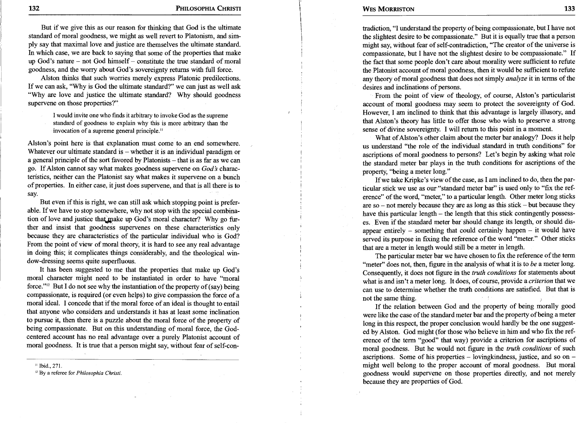But if we give this as our reason for thinking that God is the ultimate standard of moral goodness, we might as well revert to Platonism, and simply say that maximal love and justice are themselves the ultimate standard. In which case, we are back to saying that some of the properties that make up God's nature — not God himself — constitute the true standard of moral goodness, and the worry about God's sovereignty returns with full force.

Alston thinks that such worries merely express Platonic predilections. If we can ask, "Why is God the ultimate standard?" we can just as well ask "Why are love and justice the ultimate standard? Why should goodness supervene on those properties?"

> I would invite one who finds it arbitrary to invoke God as the supreme standard of goodness to explain why this is more arbitrary than the invocation of a supreme general principle."

Alston's point here is that explanation must come to an end somewhere. Whatever our ultimate standard is  $-$  whether it is an individual paradigm or a general principle of the sort favored by Platonists — that is as far as we can go. If Alston cannot say what makes goodness supervene on *God's* characteristics, neither can the Platonist say what makes it supervene on a bunch of properties. In either case, it just does supervene, and that is all there is to say.

But even if this is right, we can still ask which stopping point is preferable. If we have to stop somewhere, why not stop with the special combination of love and justice that make up God's moral character? Why go further and insist that goodness supervenes on these characteristics only because they are characteristics of the particular individual who is God? From the point of view of moral theory, it is hard to see any real advantage in doing this; it complicates things considerably, and the theological window-dressing seems quite superfluous.

It has been suggested to me that the properties that make up God's moral character might need to be instantiated in order to have "moral force." $^{12}$  But I do not see why the instantiation of the property of (say) being compassionate, is required (or even helps) to give compassion the force of a moral ideal. I concede that if the moral force of an ideal is thought to entail that anyone who considers and understands it has at least some inclination to pursue it, then there is a puzzle about the moral force of the property of being compassionate. But on this understanding of moral force, the Godcentered account has no real advantage over a purely Platonist account of moral goodness. It is true that a person might say, without fear of self-con-

<sup>11</sup> Ibid., 271.

12By a referee for *Philosophia Christi.* 

tradiction, "I understand the property of being compassionate, but I have not the slightest desire to be compassionate." But it is equally true that a person might say, without fear of self-contradiction, "The creator of the universe is compassionate, but I have not the slightest desire to be compassionate." If the fact that some people don't care about morality were sufficient to refute the Platonist account of moral goodness, then it would be sufficient to refute any theory of moral goodness that does not simply *analyze* it in terms of the desires and inclinations of persons.

From the point of view of theology, of course, Alston's particularist account of moral goodness may seem to protect the sovereignty of God. However, I am inclined to think that this advantage is largely illusory, and that Alston's theory has little to offer those who wish to preserve a strong sense of divine sovereignty. I will return to this point in a moment.

What of Alston's other claim about the meter bar analogy? Does it help us understand "the role of the individual standard in truth conditions" for ascriptions of moral goodness to persons? Let's begin by asking what role the standard meter bar plays in the truth conditions for ascriptions of the property, "being a meter long."

If we take Kripke's view of the case, as I am inclined to do, then the particular stick we use as our "standard meter bar" is used only to "fix the reference" of the word, "meter," to a particular length. Other meter long sticks are so – not merely because they are as long as this stick – but because they have this particular length — the length that this stick contingently possesses. Even if the standard meter bar should change its length, or should disappear entirely  $-$  something that could certainly happen  $-$  it would have served its purpose in fixing the reference of the word "meter." Other sticks that are a meter in length would still be a meter in length.

The particular meter bar we have chosen to fix the reference of the term "meter" does not, then, figure in the analysis of what it is to *be* a meter long. Consequently, it does not figure in the *truth conditions* for statements about what is and isn't a meter long. It does, of course, provide a *criterion* that we can use to determine whether the truth conditions are satisfied. But that is not the same thing.

If the relation between God and the property of being morally good were like the case of the standard meter bar and the property of being a meter long in this respect, the proper conclusion would hardly be the one suggested by Alston. God might (for those who believe in him and who fix the reference of the term "good" that way) provide a criterion for ascriptions of moral goodness. But he would not figure in the *truth conditions* of such ascriptions. Some of his properties  $-$  loving kindness, justice, and so on  $$ might well belong to the proper account of moral goodness. But moral goodness would supervene on those properties directly, and not merely because they are properties of God.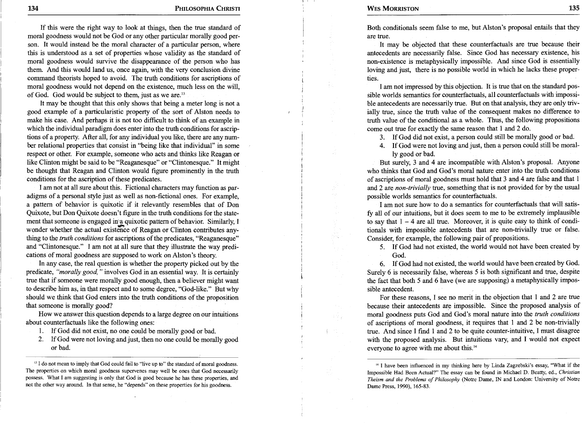If this were the right way to look at things, then the true standard of moral goodness would not be God or any other particular morally good person. It would instead be the moral character of a particular person, where this is understood as a set of properties whose validity as the standard of moral goodness would survive the disappearance of the person who has them. And this would land us, once again, with the very conclusion divine command theorists hoped to avoid. The truth conditions for ascriptions of moral goodness would not depend on the existence, much less on the will, of God. God would be subject to them, just as we are.<sup>13</sup>

It may be thought that this only shows that being a meter long is not a good example of a particularistic property of the sort of Alston needs to make his case. And perhaps it is not too difficult to think of an example in which the individual paradigm does enter into the truth conditions for ascriptions of a property. After all, for any individual you like, there are any number relational properties that consist in "being like that individual" in some respect or other. For example, someone who acts and thinks like Reagan or like Clinton might be said to be "Reaganesque" or "Clintonesque." It might be thought that Reagan and Clinton would figure prominently in the truth conditions for the ascription of these predicates.

I am not at all sure about this. Fictional characters may function as paradigms of a personal style just as well as non-fictional ones. For example, a pattern of behavior is quixotic if it relevantly resembles that of Don Quixote, but Don Quixote doesn't figure in the truth conditions for the statement that someone is engaged in'a quixotic pattern of behavior. Similarly, I wonder whether the actual existence of Reagan or Clinton contributes anything to the *truth conditions* for ascriptions of the predicates, "Reaganesque" and "Clintonesque." I am not at all sure that they illustrate the way predications of moral goodness are supposed to work on Alston's theory.

In any case, the real question is whether the property picked out by the predicate, *"morally good,"* involves God in an essential way. It is certainly true that if someone were morally good enough, then a believer might want to describe him as, in that respect and to some degree, "God-like." But why should we think that God enters into the truth conditions of the proposition that someone is morally good?

How we answer this question depends to a, large degree on our intuitions about counterfactuals like the following ones:

- 1. If God did not exist, no one could be morally good or bad.
- 2. If God were not loving and just, then no one could be morally good or bad.

<sup>13</sup> I do not mean to imply that God could fail to "live up to" the standard of moral goodness. The properties on which moral goodness supervenes may well be ones that God necessarily possess. What I am suggesting is only that God is good because he has these properties, and not the other way around. In that sense, he "depends" on these properties for his goodness.

Both conditionals seem false to me, but Alston's proposal entails that they are true.

It may be objected that these counterfactuals are true because their antecedents are necessarily false. Since God has necessary existence, his non-existence is metaphysically impossible. And since God is essentially loving and just, there is no possible world in which he lacks these properties.

I am not impressed by this objection. It is true that on the standard possible worlds semantics for counterfactuals, all counterfactuals with impossible antecedents are necessarily true. But on that analysis, they are only trivially true, since the truth value of the consequent makes no difference to truth value of the conditional as a whole. Thus, the following propositions come out true for exactly the same reason that 1 and 2 do.

3. If God did not exist, a person could still be morally good or bad.

4. If God were not loving and just, then a person could still be morally good or bad.

But surely, 3 and 4 are incompatible with Alston's proposal. Anyone who thinks that God and God's moral nature enter into the truth conditions of ascriptions of moral goodness must hold that 3 and 4 are false and that 1 and 2 are *non-trivially* true, something that is not provided for by the usual possible worlds semantics for counterfactuals.

I am not sure how to do a semantics for counterfactuals that will satisfy all of our intuitions, but it does seem to me to be extremely implausible to say that  $1 - 4$  are all true. Moreover, it is quite easy to think of conditionals with impossible antecedents that are non-trivially true or false. Consider, for example, the following pair of propositions.

5. If God had not existed, the world would not have been created by God.

6. If God had not existed, the world would have been created by God. Surely 6 is necessarily false, whereas 5 is both significant and true, despite the fact that both 5 and 6 have (we are supposing) a metaphysically impossible antecedent.

For these reasons, I see no merit in the objection that 1 and 2 are true because their antecedents are impossible. Since the proposed analysis of moral goodness puts God and God's moral nature into the *truth conditions*  of ascriptions of moral goodness, it requires that 1 and 2 be non-trivially true. And since I find 1 and 2 to be quite counter-intuitive, I must disagree with the proposed analysis. But intuitions vary, and I would not expect everyone to agree with me about this.'

<sup>&</sup>lt;sup>14</sup> I have been influenced in my thinking here by Linda Zagzebski's essay, "What if the Impossible Had Been Actual?" The essay can be found in Michael D. Beatty, ed., *Christian Theism and the Problems of Philosophy* (Notre Dame, IN and London: University of Notre Dame Press, 1990), 165-83.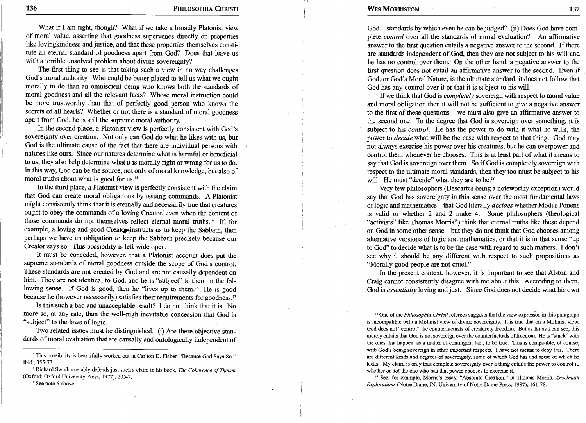136 **PHILOSOPHIA CHRISTI WES MORRISTON** 137

What if I am right, though? What if we take a broadly Platonist view of moral value, asserting that goodness supervenes directly on properties like lovingkindness and justice, and that these properties themselves constitute an eternal standard of goodness apart from God? Does that leave us with a terrible unsolved problem about divine sovereignty?

The first thing to see is that taking such a view in no way challenges God's moral authority. Who could be better placed to tell us what we ought morally to do than an omniscient being who knows both the standards of moral goodness and all the relevant facts? Whose moral instruction could be more trustworthy than that of perfectly good person who knows the secrets of all hearts? Whether or not there is a standard of moral goodness apart from God, he is still the supreme moral authority.

In the second place, a Platonist view is perfectly consistent with God's sovereignty over creation. Not only can God do what he likes with us, but God is the ultimate cause of the fact that there are individual persons with natures like ours. Since our natures determine what is harmful or beneficial to us, they also help determine what it is morally right or wrong for us to do. In this way, God can be the source, not only of moral knowledge, but also of moral truths about what is good for us.<sup>15</sup>

In the third place, a Platonist view is perfectly consistent with the claim that God can create moral obligations by issuing commands. A Platonist might consistently think that it is eternally and necessarily true that creatures ought to obey the commands of a loving Creator, even when the content of those commands do not themselves reflect eternal moral truths.<sup>16</sup> If, for example, a loving and good Creator instructs us to keep the Sabbath, then perhaps we have an obligation to keep the Sabbath precisely because our Creator says so. This possibility is left wide open.

It must be conceded, however, that a Platonist account does put the supreme standards of moral goodness outside the scope of God's control. These standards are not created by God and are not causally dependent on him. They are not identical to God, and he is "subject" to them in the following sense. If God is good, then he "lives up to them." He is good because he (however necessarily) satisfies their requirements for goodness."

Is this such a bad and unacceptable result? I do not think that it is. No more so, at any rate, than the well-nigh inevitable concession that God is "subject" to the laws of logic.

Two related issues must be distinguished. (i) Are there objective standards of moral evaluation that are causally and ontologically independent of

<sup>16</sup> Richard Swinburne ably defends just such a claim in his book, *The Coherence of Theism* (Oxford: Oxford University Press, 1977), 205-7.

<sup>17</sup> See note 6 above.

God — standards by which even he can be judged? (ii) Does God have complete *control* over all the standards of moral evaluation? An affirmative answer to the first question entails a negative answer to the second. If there are standards independent of God, then they are not subject to his will and he has no control over them. On the other hand, a negative answer to the first question does not entail an affirmative answer to the second. Even if God, or God's Moral Nature, is the ultimate standard, it does not follow that God has any control over it or that it is subject to his will.

If we think that God is *completely* sovereign with respect to moral value and moral obligation then it will not be sufficient to give a negative answer to the first of these questions — we must also give an affirmative answer to the second one. To the degree that God is sovereign over something, it is subject to his *control.* He has the power to do with it what he wills, the power to *decide* what will be the case with respect to that thing. God may not always exercise his power over his creatures, but he can overpower and control them whenever he chooses. This is at least part of what it means to say that God is sovereign over them. So if God is completely sovereign with respect to the ultimate moral standards, then they too must be subject to his will. He must "decide" what they are to be.<sup>18</sup>

Very few philosophers (Descartes being a noteworthy exception) would say that God has sovereignty in this sense over the most fundamental laws of logic and mathematics — that God literally *decides* whether Modus Ponens is valid or whether 2 and 2 make 4. Some philosophers (theological "activists" like Thomas Morris<sup>19</sup>) think that eternal truths like these depend on God in some other sense — but they do not think that God chooses among alternative versions of logic and mathematics, or that it is in that sense "up to God" to decide what is to be the case with regard to such matters. I don't see why it should be any different with respect to such propositions as "Morally good people are not cruel."

In the present context, however, it is important to see that Alston and Craig cannot consistently disagree with me about this. According to them, God is *essentially* loving and just. Since God does not decide what his own

<sup>18</sup> One of the *Philosophia Christi* referees suggests that the view expressed in this paragraph is incompatible with a Molinist view of divine sovereignty. It is true that on a Molinist view, God does not "control" the counterfactuals of creaturely freedom. But as far as I can see, this merely entails that God is not sovereign over the counterfactuals of freedom. He is "stuck" with the ones that happen, as a matter of contingent fact, to be true. This is compatible, of course, with God's being sovereign in other important respects. I have not meant to deny this. There are different kinds and degrees of sovereignty, some of which God has and some of which he lacks. My claim is only that complete sovereignty over a thing entails the power to control it, whether or not the one who has that power chooses to exercise it.

<sup>19</sup> See, for example, Morris's essay, "Absolute Creation," in Thomas Morris, *Anselmian Explorations* (Notre Dame, IN: University of Notre Dame Press, 1987), 161-78.

<sup>&</sup>lt;sup>15</sup> This possibility is beautifully worked out in Carlton D. Fisher, "Because God Says So." Ibid., 355-77.